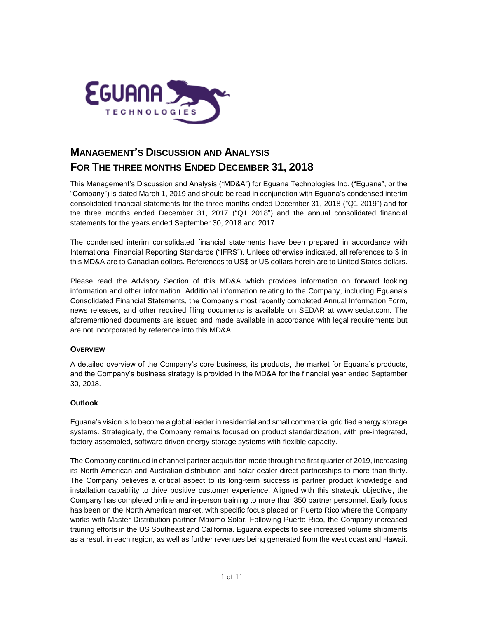

# **MANAGEMENT'S DISCUSSION AND ANALYSIS FOR THE THREE MONTHS ENDED DECEMBER 31, 2018**

This Management's Discussion and Analysis ("MD&A") for Eguana Technologies Inc. ("Eguana", or the "Company") is dated March 1, 2019 and should be read in conjunction with Eguana's condensed interim consolidated financial statements for the three months ended December 31, 2018 ("Q1 2019") and for the three months ended December 31, 2017 ("Q1 2018") and the annual consolidated financial statements for the years ended September 30, 2018 and 2017.

The condensed interim consolidated financial statements have been prepared in accordance with International Financial Reporting Standards ("IFRS"). Unless otherwise indicated, all references to \$ in this MD&A are to Canadian dollars. References to US\$ or US dollars herein are to United States dollars.

Please read the Advisory Section of this MD&A which provides information on forward looking information and other information. Additional information relating to the Company, including Eguana's Consolidated Financial Statements, the Company's most recently completed Annual Information Form, news releases, and other required filing documents is available on SEDAR at [www.sedar.com.](http://www.sedar.com/) The aforementioned documents are issued and made available in accordance with legal requirements but are not incorporated by reference into this MD&A.

# **OVERVIEW**

A detailed overview of the Company's core business, its products, the market for Eguana's products, and the Company's business strategy is provided in the MD&A for the financial year ended September 30, 2018.

# **Outlook**

Eguana's vision is to become a global leader in residential and small commercial grid tied energy storage systems. Strategically, the Company remains focused on product standardization, with pre-integrated, factory assembled, software driven energy storage systems with flexible capacity.

The Company continued in channel partner acquisition mode through the first quarter of 2019, increasing its North American and Australian distribution and solar dealer direct partnerships to more than thirty. The Company believes a critical aspect to its long-term success is partner product knowledge and installation capability to drive positive customer experience. Aligned with this strategic objective, the Company has completed online and in-person training to more than 350 partner personnel. Early focus has been on the North American market, with specific focus placed on Puerto Rico where the Company works with Master Distribution partner Maximo Solar. Following Puerto Rico, the Company increased training efforts in the US Southeast and California. Eguana expects to see increased volume shipments as a result in each region, as well as further revenues being generated from the west coast and Hawaii.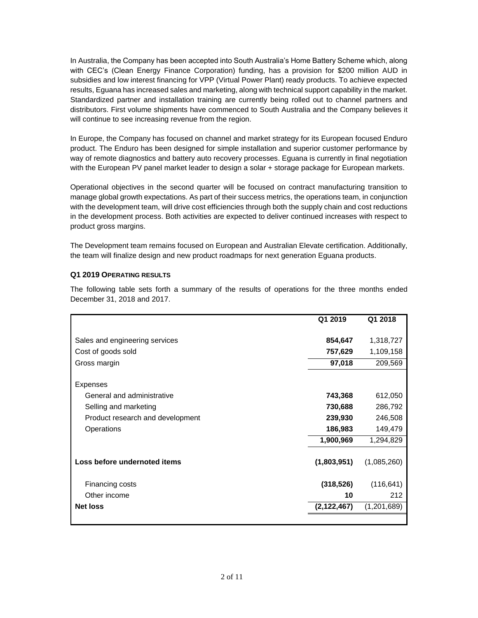In Australia, the Company has been accepted into South Australia's Home Battery Scheme which, along with CEC's (Clean Energy Finance Corporation) funding, has a provision for \$200 million AUD in subsidies and low interest financing for VPP (Virtual Power Plant) ready products. To achieve expected results, Eguana has increased sales and marketing, along with technical support capability in the market. Standardized partner and installation training are currently being rolled out to channel partners and distributors. First volume shipments have commenced to South Australia and the Company believes it will continue to see increasing revenue from the region.

In Europe, the Company has focused on channel and market strategy for its European focused Enduro product. The Enduro has been designed for simple installation and superior customer performance by way of remote diagnostics and battery auto recovery processes. Eguana is currently in final negotiation with the European PV panel market leader to design a solar + storage package for European markets.

Operational objectives in the second quarter will be focused on contract manufacturing transition to manage global growth expectations. As part of their success metrics, the operations team, in conjunction with the development team, will drive cost efficiencies through both the supply chain and cost reductions in the development process. Both activities are expected to deliver continued increases with respect to product gross margins.

The Development team remains focused on European and Australian Elevate certification. Additionally, the team will finalize design and new product roadmaps for next generation Eguana products.

# **Q1 2019 OPERATING RESULTS**

The following table sets forth a summary of the results of operations for the three months ended December 31, 2018 and 2017.

|                                  | Q1 2019     | Q1 2018     |
|----------------------------------|-------------|-------------|
| Sales and engineering services   | 854,647     | 1,318,727   |
| Cost of goods sold               | 757,629     | 1,109,158   |
| Gross margin                     | 97,018      | 209,569     |
| <b>Expenses</b>                  |             |             |
| General and administrative       | 743,368     | 612,050     |
| Selling and marketing            | 730,688     | 286,792     |
| Product research and development | 239,930     | 246,508     |
| Operations                       | 186,983     | 149,479     |
|                                  | 1,900,969   | 1,294,829   |
| Loss before undernoted items     | (1,803,951) | (1,085,260) |
| Financing costs                  | (318, 526)  | (116, 641)  |
| Other income                     | 10          | 212         |
| <b>Net loss</b>                  | (2,122,467) | (1,201,689) |
|                                  |             |             |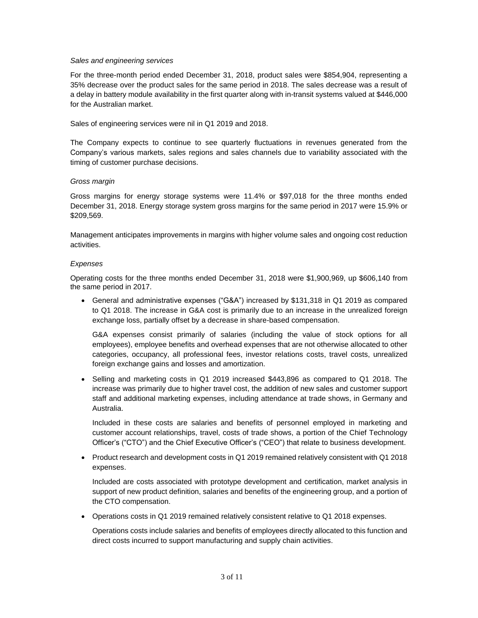## *Sales and engineering services*

For the three-month period ended December 31, 2018, product sales were \$854,904, representing a 35% decrease over the product sales for the same period in 2018. The sales decrease was a result of a delay in battery module availability in the first quarter along with in-transit systems valued at \$446,000 for the Australian market.

Sales of engineering services were nil in Q1 2019 and 2018.

The Company expects to continue to see quarterly fluctuations in revenues generated from the Company's various markets, sales regions and sales channels due to variability associated with the timing of customer purchase decisions.

## *Gross margin*

Gross margins for energy storage systems were 11.4% or \$97,018 for the three months ended December 31, 2018. Energy storage system gross margins for the same period in 2017 were 15.9% or \$209,569.

Management anticipates improvements in margins with higher volume sales and ongoing cost reduction activities.

#### *Expenses*

Operating costs for the three months ended December 31, 2018 were \$1,900,969, up \$606,140 from the same period in 2017.

• General and administrative expenses ("G&A") increased by \$131,318 in Q1 2019 as compared to Q1 2018. The increase in G&A cost is primarily due to an increase in the unrealized foreign exchange loss, partially offset by a decrease in share-based compensation.

G&A expenses consist primarily of salaries (including the value of stock options for all employees), employee benefits and overhead expenses that are not otherwise allocated to other categories, occupancy, all professional fees, investor relations costs, travel costs, unrealized foreign exchange gains and losses and amortization.

• Selling and marketing costs in Q1 2019 increased \$443,896 as compared to Q1 2018. The increase was primarily due to higher travel cost, the addition of new sales and customer support staff and additional marketing expenses, including attendance at trade shows, in Germany and Australia.

Included in these costs are salaries and benefits of personnel employed in marketing and customer account relationships, travel, costs of trade shows, a portion of the Chief Technology Officer's ("CTO") and the Chief Executive Officer's ("CEO") that relate to business development.

• Product research and development costs in Q1 2019 remained relatively consistent with Q1 2018 expenses.

Included are costs associated with prototype development and certification, market analysis in support of new product definition, salaries and benefits of the engineering group, and a portion of the CTO compensation.

• Operations costs in Q1 2019 remained relatively consistent relative to Q1 2018 expenses.

Operations costs include salaries and benefits of employees directly allocated to this function and direct costs incurred to support manufacturing and supply chain activities.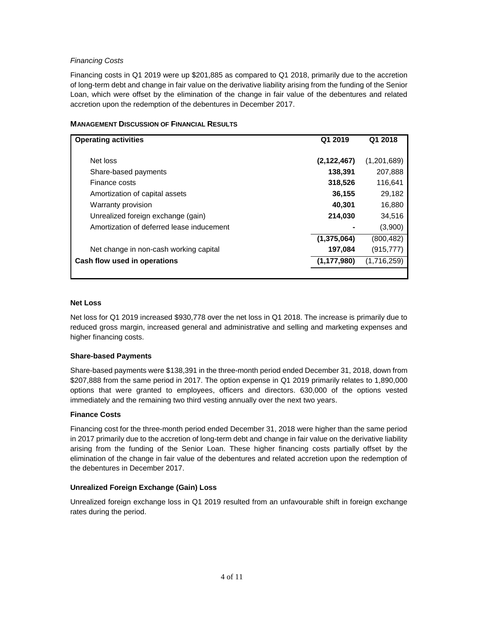# *Financing Costs*

Financing costs in Q1 2019 were up \$201,885 as compared to Q1 2018, primarily due to the accretion of long-term debt and change in fair value on the derivative liability arising from the funding of the Senior Loan, which were offset by the elimination of the change in fair value of the debentures and related accretion upon the redemption of the debentures in December 2017.

| <b>Operating activities</b>               | Q1 2019       | Q1 2018     |
|-------------------------------------------|---------------|-------------|
|                                           |               |             |
| Net loss                                  | (2, 122, 467) | (1,201,689) |
| Share-based payments                      | 138,391       | 207,888     |
| Finance costs                             | 318,526       | 116,641     |
| Amortization of capital assets            | 36,155        | 29,182      |
| Warranty provision                        | 40,301        | 16,880      |
| Unrealized foreign exchange (gain)        | 214,030       | 34,516      |
| Amortization of deferred lease inducement |               | (3,900)     |
|                                           | (1, 375, 064) | (800, 482)  |
| Net change in non-cash working capital    | 197,084       | (915, 777)  |
| Cash flow used in operations              | (1, 177, 980) | (1,716,259) |
|                                           |               |             |

## **MANAGEMENT DISCUSSION OF FINANCIAL RESULTS**

#### **Net Loss**

Net loss for Q1 2019 increased \$930,778 over the net loss in Q1 2018. The increase is primarily due to reduced gross margin, increased general and administrative and selling and marketing expenses and higher financing costs.

# **Share-based Payments**

Share-based payments were \$138,391 in the three-month period ended December 31, 2018, down from \$207,888 from the same period in 2017. The option expense in Q1 2019 primarily relates to 1,890,000 options that were granted to employees, officers and directors. 630,000 of the options vested immediately and the remaining two third vesting annually over the next two years.

#### **Finance Costs**

Financing cost for the three-month period ended December 31, 2018 were higher than the same period in 2017 primarily due to the accretion of long-term debt and change in fair value on the derivative liability arising from the funding of the Senior Loan. These higher financing costs partially offset by the elimination of the change in fair value of the debentures and related accretion upon the redemption of the debentures in December 2017.

# **Unrealized Foreign Exchange (Gain) Loss**

Unrealized foreign exchange loss in Q1 2019 resulted from an unfavourable shift in foreign exchange rates during the period.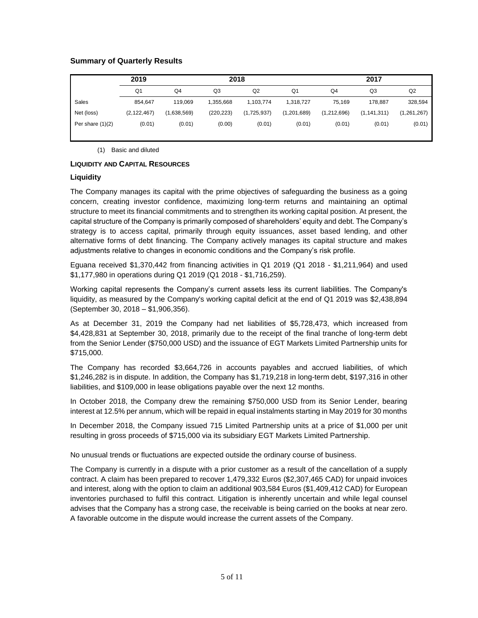# **Summary of Quarterly Results**

|                    | 2019          |             | 2018       |             |                | 2017           |                |             |
|--------------------|---------------|-------------|------------|-------------|----------------|----------------|----------------|-------------|
|                    | Q1            | Q4          | Q3         | Q2          | Q <sub>1</sub> | Q <sub>4</sub> | Q <sub>3</sub> | Q2          |
| Sales              | 854.647       | 119.069     | 1.355.668  | 1.103.774   | 1.318.727      | 75.169         | 178.887        | 328,594     |
| Net (loss)         | (2, 122, 467) | (1,638,569) | (220, 223) | (1,725,937) | (1,201,689)    | (1,212,696)    | (1, 141, 311)  | (1,261,267) |
| Per share $(1)(2)$ | (0.01)        | (0.01)      | (0.00)     | (0.01)      | (0.01)         | (0.01)         | (0.01)         | (0.01)      |

(1) Basic and diluted

## **LIQUIDITY AND CAPITAL RESOURCES**

## **Liquidity**

The Company manages its capital with the prime objectives of safeguarding the business as a going concern, creating investor confidence, maximizing long-term returns and maintaining an optimal structure to meet its financial commitments and to strengthen its working capital position. At present, the capital structure of the Company is primarily composed of shareholders' equity and debt. The Company's strategy is to access capital, primarily through equity issuances, asset based lending, and other alternative forms of debt financing. The Company actively manages its capital structure and makes adjustments relative to changes in economic conditions and the Company's risk profile.

Eguana received \$1,370,442 from financing activities in Q1 2019 (Q1 2018 - \$1,211,964) and used \$1,177,980 in operations during Q1 2019 (Q1 2018 - \$1,716,259).

Working capital represents the Company's current assets less its current liabilities. The Company's liquidity, as measured by the Company's working capital deficit at the end of Q1 2019 was \$2,438,894 (September 30, 2018 – \$1,906,356).

As at December 31, 2019 the Company had net liabilities of \$5,728,473, which increased from \$4,428,831 at September 30, 2018, primarily due to the receipt of the final tranche of long-term debt from the Senior Lender (\$750,000 USD) and the issuance of EGT Markets Limited Partnership units for \$715,000.

The Company has recorded \$3,664,726 in accounts payables and accrued liabilities, of which \$1,246,282 is in dispute. In addition, the Company has \$1,719,218 in long-term debt, \$197,316 in other liabilities, and \$109,000 in lease obligations payable over the next 12 months.

In October 2018, the Company drew the remaining \$750,000 USD from its Senior Lender, bearing interest at 12.5% per annum, which will be repaid in equal instalments starting in May 2019 for 30 months

In December 2018, the Company issued 715 Limited Partnership units at a price of \$1,000 per unit resulting in gross proceeds of \$715,000 via its subsidiary EGT Markets Limited Partnership.

No unusual trends or fluctuations are expected outside the ordinary course of business.

The Company is currently in a dispute with a prior customer as a result of the cancellation of a supply contract. A claim has been prepared to recover 1,479,332 Euros (\$2,307,465 CAD) for unpaid invoices and interest, along with the option to claim an additional 903,584 Euros (\$1,409,412 CAD) for European inventories purchased to fulfil this contract. Litigation is inherently uncertain and while legal counsel advises that the Company has a strong case, the receivable is being carried on the books at near zero. A favorable outcome in the dispute would increase the current assets of the Company.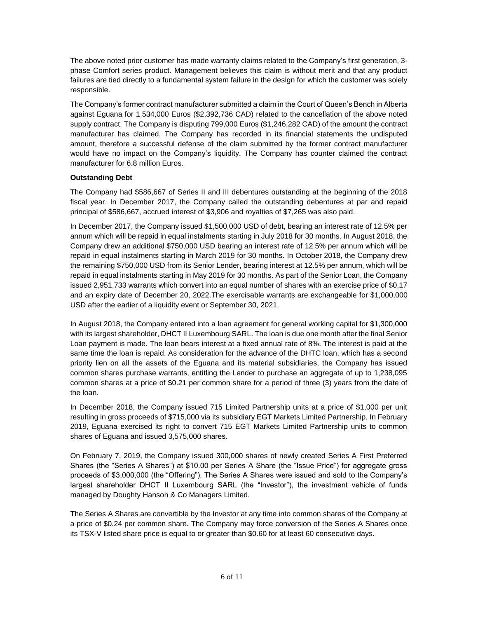The above noted prior customer has made warranty claims related to the Company's first generation, 3 phase Comfort series product. Management believes this claim is without merit and that any product failures are tied directly to a fundamental system failure in the design for which the customer was solely responsible.

The Company's former contract manufacturer submitted a claim in the Court of Queen's Bench in Alberta against Eguana for 1,534,000 Euros (\$2,392,736 CAD) related to the cancellation of the above noted supply contract. The Company is disputing 799,000 Euros (\$1,246,282 CAD) of the amount the contract manufacturer has claimed. The Company has recorded in its financial statements the undisputed amount, therefore a successful defense of the claim submitted by the former contract manufacturer would have no impact on the Company's liquidity. The Company has counter claimed the contract manufacturer for 6.8 million Euros.

# **Outstanding Debt**

The Company had \$586,667 of Series II and III debentures outstanding at the beginning of the 2018 fiscal year. In December 2017, the Company called the outstanding debentures at par and repaid principal of \$586,667, accrued interest of \$3,906 and royalties of \$7,265 was also paid.

In December 2017, the Company issued \$1,500,000 USD of debt, bearing an interest rate of 12.5% per annum which will be repaid in equal instalments starting in July 2018 for 30 months. In August 2018, the Company drew an additional \$750,000 USD bearing an interest rate of 12.5% per annum which will be repaid in equal instalments starting in March 2019 for 30 months. In October 2018, the Company drew the remaining \$750,000 USD from its Senior Lender, bearing interest at 12.5% per annum, which will be repaid in equal instalments starting in May 2019 for 30 months. As part of the Senior Loan, the Company issued 2,951,733 warrants which convert into an equal number of shares with an exercise price of \$0.17 and an expiry date of December 20, 2022.The exercisable warrants are exchangeable for \$1,000,000 USD after the earlier of a liquidity event or September 30, 2021.

In August 2018, the Company entered into a loan agreement for general working capital for \$1,300,000 with its largest shareholder, DHCT II Luxembourg SARL. The loan is due one month after the final Senior Loan payment is made. The loan bears interest at a fixed annual rate of 8%. The interest is paid at the same time the loan is repaid. As consideration for the advance of the DHTC loan, which has a second priority lien on all the assets of the Eguana and its material subsidiaries, the Company has issued common shares purchase warrants, entitling the Lender to purchase an aggregate of up to 1,238,095 common shares at a price of \$0.21 per common share for a period of three (3) years from the date of the loan.

In December 2018, the Company issued 715 Limited Partnership units at a price of \$1,000 per unit resulting in gross proceeds of \$715,000 via its subsidiary EGT Markets Limited Partnership. In February 2019, Eguana exercised its right to convert 715 EGT Markets Limited Partnership units to common shares of Eguana and issued 3,575,000 shares.

On February 7, 2019, the Company issued 300,000 shares of newly created Series A First Preferred Shares (the "Series A Shares") at \$10.00 per Series A Share (the "Issue Price") for aggregate gross proceeds of \$3,000,000 (the "Offering"). The Series A Shares were issued and sold to the Company's largest shareholder DHCT II Luxembourg SARL (the "Investor"), the investment vehicle of funds managed by Doughty Hanson & Co Managers Limited.

The Series A Shares are convertible by the Investor at any time into common shares of the Company at a price of \$0.24 per common share. The Company may force conversion of the Series A Shares once its TSX-V listed share price is equal to or greater than \$0.60 for at least 60 consecutive days.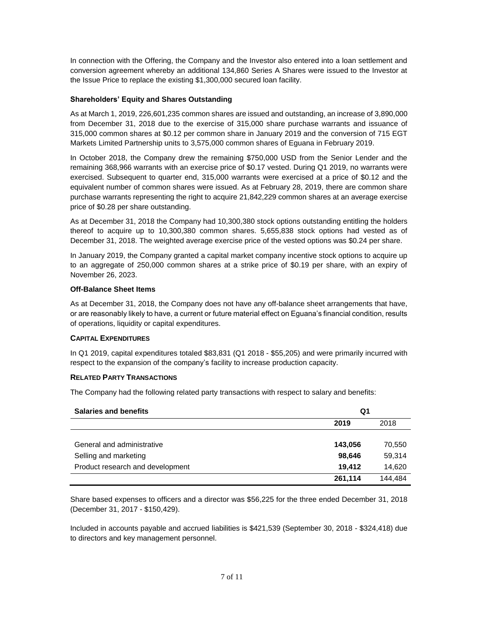In connection with the Offering, the Company and the Investor also entered into a loan settlement and conversion agreement whereby an additional 134,860 Series A Shares were issued to the Investor at the Issue Price to replace the existing \$1,300,000 secured loan facility.

# **Shareholders' Equity and Shares Outstanding**

As at March 1, 2019, 226,601,235 common shares are issued and outstanding, an increase of 3,890,000 from December 31, 2018 due to the exercise of 315,000 share purchase warrants and issuance of 315,000 common shares at \$0.12 per common share in January 2019 and the conversion of 715 EGT Markets Limited Partnership units to 3,575,000 common shares of Eguana in February 2019.

In October 2018, the Company drew the remaining \$750,000 USD from the Senior Lender and the remaining 368,966 warrants with an exercise price of \$0.17 vested. During Q1 2019, no warrants were exercised. Subsequent to quarter end, 315,000 warrants were exercised at a price of \$0.12 and the equivalent number of common shares were issued. As at February 28, 2019, there are common share purchase warrants representing the right to acquire 21,842,229 common shares at an average exercise price of \$0.28 per share outstanding.

As at December 31, 2018 the Company had 10,300,380 stock options outstanding entitling the holders thereof to acquire up to 10,300,380 common shares. 5,655,838 stock options had vested as of December 31, 2018. The weighted average exercise price of the vested options was \$0.24 per share.

In January 2019, the Company granted a capital market company incentive stock options to acquire up to an aggregate of 250,000 common shares at a strike price of \$0.19 per share, with an expiry of November 26, 2023.

# **Off-Balance Sheet Items**

As at December 31, 2018, the Company does not have any off-balance sheet arrangements that have, or are reasonably likely to have, a current or future material effect on Eguana's financial condition, results of operations, liquidity or capital expenditures.

# **CAPITAL EXPENDITURES**

In Q1 2019, capital expenditures totaled \$83,831 (Q1 2018 - \$55,205) and were primarily incurred with respect to the expansion of the company's facility to increase production capacity.

# **RELATED PARTY TRANSACTIONS**

The Company had the following related party transactions with respect to salary and benefits:

| <b>Salaries and benefits</b>     | Q1      |         |  |
|----------------------------------|---------|---------|--|
|                                  | 2019    | 2018    |  |
|                                  |         |         |  |
| General and administrative       | 143,056 | 70,550  |  |
| Selling and marketing            | 98,646  | 59,314  |  |
| Product research and development | 19.412  | 14,620  |  |
|                                  | 261,114 | 144,484 |  |

Share based expenses to officers and a director was \$56,225 for the three ended December 31, 2018 (December 31, 2017 - \$150,429).

Included in accounts payable and accrued liabilities is \$421,539 (September 30, 2018 - \$324,418) due to directors and key management personnel.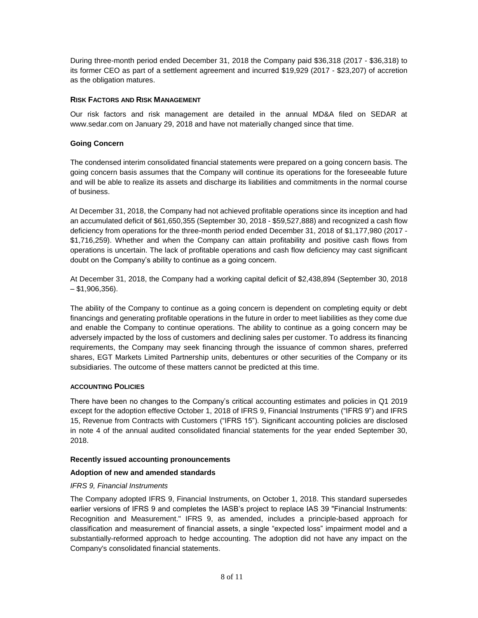During three-month period ended December 31, 2018 the Company paid \$36,318 (2017 - \$36,318) to its former CEO as part of a settlement agreement and incurred \$19,929 (2017 - \$23,207) of accretion as the obligation matures.

# **RISK FACTORS AND RISK MANAGEMENT**

Our risk factors and risk management are detailed in the annual MD&A filed on SEDAR at [www.sedar.com](http://www.sedar.com/) on January 29, 2018 and have not materially changed since that time.

# **Going Concern**

The condensed interim consolidated financial statements were prepared on a going concern basis. The going concern basis assumes that the Company will continue its operations for the foreseeable future and will be able to realize its assets and discharge its liabilities and commitments in the normal course of business.

At December 31, 2018, the Company had not achieved profitable operations since its inception and had an accumulated deficit of \$61,650,355 (September 30, 2018 - \$59,527,888) and recognized a cash flow deficiency from operations for the three-month period ended December 31, 2018 of \$1,177,980 (2017 - \$1,716,259). Whether and when the Company can attain profitability and positive cash flows from operations is uncertain. The lack of profitable operations and cash flow deficiency may cast significant doubt on the Company's ability to continue as a going concern.

At December 31, 2018, the Company had a working capital deficit of \$2,438,894 (September 30, 2018 – \$1,906,356).

The ability of the Company to continue as a going concern is dependent on completing equity or debt financings and generating profitable operations in the future in order to meet liabilities as they come due and enable the Company to continue operations. The ability to continue as a going concern may be adversely impacted by the loss of customers and declining sales per customer. To address its financing requirements, the Company may seek financing through the issuance of common shares, preferred shares, EGT Markets Limited Partnership units, debentures or other securities of the Company or its subsidiaries. The outcome of these matters cannot be predicted at this time.

# **ACCOUNTING POLICIES**

There have been no changes to the Company's critical accounting estimates and policies in Q1 2019 except for the adoption effective October 1, 2018 of IFRS 9, Financial Instruments ("IFRS 9") and IFRS 15, Revenue from Contracts with Customers ("IFRS 15"). Significant accounting policies are disclosed in note 4 of the annual audited consolidated financial statements for the year ended September 30, 2018.

# **Recently issued accounting pronouncements**

# **Adoption of new and amended standards**

# *IFRS 9, Financial Instruments*

The Company adopted IFRS 9, Financial Instruments, on October 1, 2018. This standard supersedes earlier versions of IFRS 9 and completes the IASB's project to replace IAS 39 "Financial Instruments: Recognition and Measurement." IFRS 9, as amended, includes a principle-based approach for classification and measurement of financial assets, a single "expected loss" impairment model and a substantially-reformed approach to hedge accounting. The adoption did not have any impact on the Company's consolidated financial statements.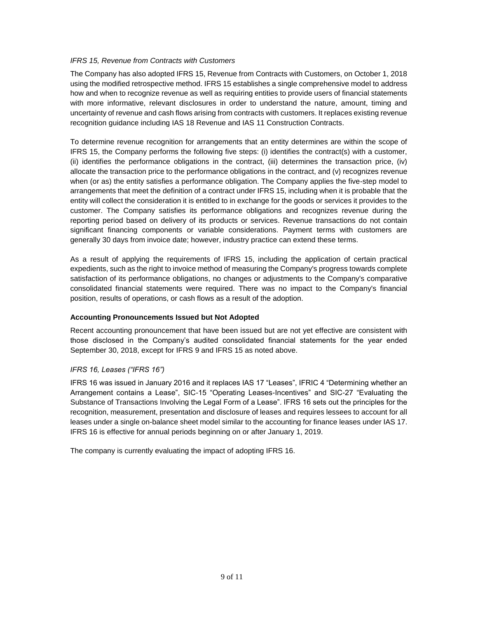# *IFRS 15, Revenue from Contracts with Customers*

The Company has also adopted IFRS 15, Revenue from Contracts with Customers, on October 1, 2018 using the modified retrospective method. IFRS 15 establishes a single comprehensive model to address how and when to recognize revenue as well as requiring entities to provide users of financial statements with more informative, relevant disclosures in order to understand the nature, amount, timing and uncertainty of revenue and cash flows arising from contracts with customers. It replaces existing revenue recognition guidance including IAS 18 Revenue and IAS 11 Construction Contracts.

To determine revenue recognition for arrangements that an entity determines are within the scope of IFRS 15, the Company performs the following five steps: (i) identifies the contract(s) with a customer, (ii) identifies the performance obligations in the contract, (iii) determines the transaction price, (iv) allocate the transaction price to the performance obligations in the contract, and (v) recognizes revenue when (or as) the entity satisfies a performance obligation. The Company applies the five-step model to arrangements that meet the definition of a contract under IFRS 15, including when it is probable that the entity will collect the consideration it is entitled to in exchange for the goods or services it provides to the customer. The Company satisfies its performance obligations and recognizes revenue during the reporting period based on delivery of its products or services. Revenue transactions do not contain significant financing components or variable considerations. Payment terms with customers are generally 30 days from invoice date; however, industry practice can extend these terms.

As a result of applying the requirements of IFRS 15, including the application of certain practical expedients, such as the right to invoice method of measuring the Company's progress towards complete satisfaction of its performance obligations, no changes or adjustments to the Company's comparative consolidated financial statements were required. There was no impact to the Company's financial position, results of operations, or cash flows as a result of the adoption.

# **Accounting Pronouncements Issued but Not Adopted**

Recent accounting pronouncement that have been issued but are not yet effective are consistent with those disclosed in the Company's audited consolidated financial statements for the year ended September 30, 2018, except for IFRS 9 and IFRS 15 as noted above.

# *IFRS 16, Leases ("IFRS 16")*

IFRS 16 was issued in January 2016 and it replaces IAS 17 "Leases", IFRIC 4 "Determining whether an Arrangement contains a Lease", SIC-15 "Operating Leases-Incentives" and SIC-27 "Evaluating the Substance of Transactions Involving the Legal Form of a Lease". IFRS 16 sets out the principles for the recognition, measurement, presentation and disclosure of leases and requires lessees to account for all leases under a single on-balance sheet model similar to the accounting for finance leases under IAS 17. IFRS 16 is effective for annual periods beginning on or after January 1, 2019.

The company is currently evaluating the impact of adopting IFRS 16.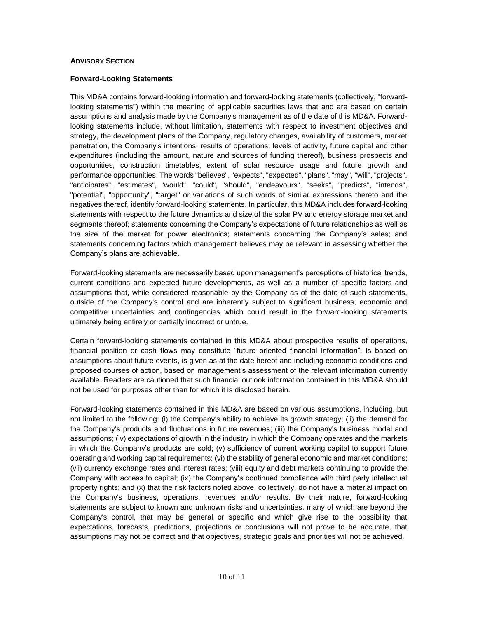# **ADVISORY SECTION**

## **Forward-Looking Statements**

This MD&A contains forward-looking information and forward-looking statements (collectively, "forwardlooking statements") within the meaning of applicable securities laws that and are based on certain assumptions and analysis made by the Company's management as of the date of this MD&A. Forwardlooking statements include, without limitation, statements with respect to investment objectives and strategy, the development plans of the Company, regulatory changes, availability of customers, market penetration, the Company's intentions, results of operations, levels of activity, future capital and other expenditures (including the amount, nature and sources of funding thereof), business prospects and opportunities, construction timetables, extent of solar resource usage and future growth and performance opportunities. The words "believes", "expects", "expected", "plans", "may", "will", "projects", "anticipates", "estimates", "would", "could", "should", "endeavours", "seeks", "predicts", "intends", "potential", "opportunity", "target" or variations of such words of similar expressions thereto and the negatives thereof, identify forward-looking statements. In particular, this MD&A includes forward-looking statements with respect to the future dynamics and size of the solar PV and energy storage market and segments thereof; statements concerning the Company's expectations of future relationships as well as the size of the market for power electronics; statements concerning the Company's sales; and statements concerning factors which management believes may be relevant in assessing whether the Company's plans are achievable.

Forward-looking statements are necessarily based upon management's perceptions of historical trends, current conditions and expected future developments, as well as a number of specific factors and assumptions that, while considered reasonable by the Company as of the date of such statements, outside of the Company's control and are inherently subject to significant business, economic and competitive uncertainties and contingencies which could result in the forward-looking statements ultimately being entirely or partially incorrect or untrue.

Certain forward-looking statements contained in this MD&A about prospective results of operations, financial position or cash flows may constitute "future oriented financial information", is based on assumptions about future events, is given as at the date hereof and including economic conditions and proposed courses of action, based on management's assessment of the relevant information currently available. Readers are cautioned that such financial outlook information contained in this MD&A should not be used for purposes other than for which it is disclosed herein.

Forward-looking statements contained in this MD&A are based on various assumptions, including, but not limited to the following: (i) the Company's ability to achieve its growth strategy; (ii) the demand for the Company's products and fluctuations in future revenues; (iii) the Company's business model and assumptions; (iv) expectations of growth in the industry in which the Company operates and the markets in which the Company's products are sold; (v) sufficiency of current working capital to support future operating and working capital requirements; (vi) the stability of general economic and market conditions; (vii) currency exchange rates and interest rates; (viii) equity and debt markets continuing to provide the Company with access to capital; (ix) the Company's continued compliance with third party intellectual property rights; and (x) that the risk factors noted above, collectively, do not have a material impact on the Company's business, operations, revenues and/or results. By their nature, forward-looking statements are subject to known and unknown risks and uncertainties, many of which are beyond the Company's control, that may be general or specific and which give rise to the possibility that expectations, forecasts, predictions, projections or conclusions will not prove to be accurate, that assumptions may not be correct and that objectives, strategic goals and priorities will not be achieved.